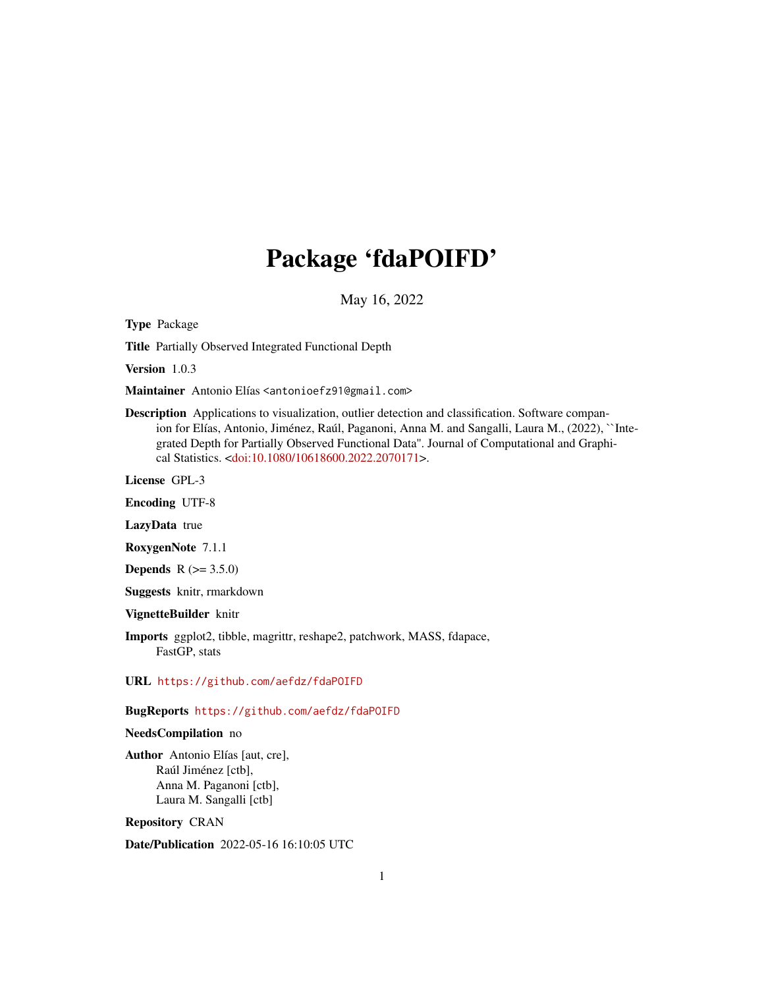## Package 'fdaPOIFD'

May 16, 2022

Type Package

Title Partially Observed Integrated Functional Depth

Version 1.0.3

Maintainer Antonio Elías <antonioefz91@gmail.com>

Description Applications to visualization, outlier detection and classification. Software companion for Elías, Antonio, Jiménez, Raúl, Paganoni, Anna M. and Sangalli, Laura M., (2022), ``Integrated Depth for Partially Observed Functional Data''. Journal of Computational and Graphical Statistics. [<doi:10.1080/10618600.2022.2070171>](https://doi.org/10.1080/10618600.2022.2070171).

License GPL-3

Encoding UTF-8

LazyData true

RoxygenNote 7.1.1

**Depends** R  $(>= 3.5.0)$ 

Suggests knitr, rmarkdown

VignetteBuilder knitr

Imports ggplot2, tibble, magrittr, reshape2, patchwork, MASS, fdapace, FastGP, stats

URL <https://github.com/aefdz/fdaPOIFD>

#### BugReports <https://github.com/aefdz/fdaPOIFD>

#### NeedsCompilation no

Author Antonio Elías [aut, cre], Raúl Jiménez [ctb], Anna M. Paganoni [ctb], Laura M. Sangalli [ctb]

Repository CRAN

Date/Publication 2022-05-16 16:10:05 UTC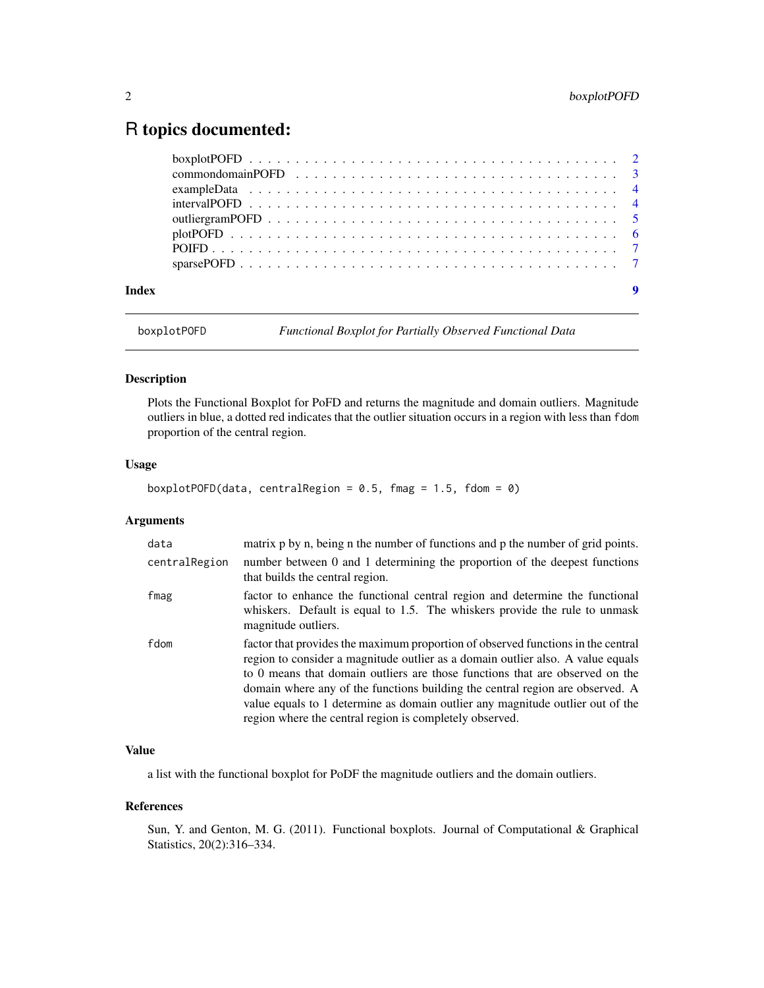### <span id="page-1-0"></span>R topics documented:

| Index | 9 |
|-------|---|

boxplotPOFD *Functional Boxplot for Partially Observed Functional Data*

#### Description

Plots the Functional Boxplot for PoFD and returns the magnitude and domain outliers. Magnitude outliers in blue, a dotted red indicates that the outlier situation occurs in a region with less than fdom proportion of the central region.

#### Usage

```
boxplotPOFD(data, centralRegion = 0.5, fmag = 1.5, fdom = 0)
```
#### Arguments

| data          | matrix p by n, being n the number of functions and p the number of grid points.                                                                                                                                                                                                                                                                                                                                                                                                   |
|---------------|-----------------------------------------------------------------------------------------------------------------------------------------------------------------------------------------------------------------------------------------------------------------------------------------------------------------------------------------------------------------------------------------------------------------------------------------------------------------------------------|
| centralRegion | number between 0 and 1 determining the proportion of the deepest functions<br>that builds the central region.                                                                                                                                                                                                                                                                                                                                                                     |
| fmag          | factor to enhance the functional central region and determine the functional<br>whiskers. Default is equal to 1.5. The whiskers provide the rule to unmask<br>magnitude outliers.                                                                                                                                                                                                                                                                                                 |
| fdom          | factor that provides the maximum proportion of observed functions in the central<br>region to consider a magnitude outlier as a domain outlier also. A value equals<br>to 0 means that domain outliers are those functions that are observed on the<br>domain where any of the functions building the central region are observed. A<br>value equals to 1 determine as domain outlier any magnitude outlier out of the<br>region where the central region is completely observed. |

#### Value

a list with the functional boxplot for PoDF the magnitude outliers and the domain outliers.

#### References

Sun, Y. and Genton, M. G. (2011). Functional boxplots. Journal of Computational & Graphical Statistics, 20(2):316–334.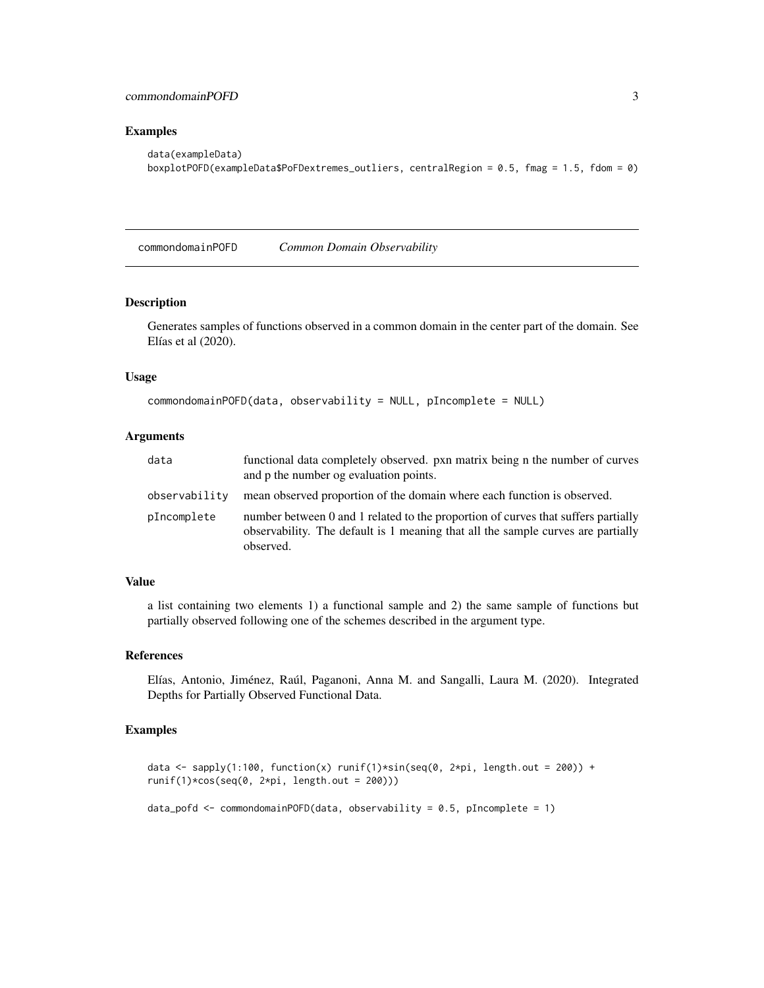#### <span id="page-2-0"></span>Examples

```
data(exampleData)
boxplotPOFD(exampleData$PoFDextremes_outliers, centralRegion = 0.5, fmag = 1.5, fdom = 0)
```
commondomainPOFD *Common Domain Observability*

#### Description

Generates samples of functions observed in a common domain in the center part of the domain. See Elías et al (2020).

#### Usage

```
commondomainPOFD(data, observability = NULL, pIncomplete = NULL)
```
#### Arguments

| data          | functional data completely observed, pxn matrix being n the number of curves<br>and p the number og evaluation points.                                                             |
|---------------|------------------------------------------------------------------------------------------------------------------------------------------------------------------------------------|
| observability | mean observed proportion of the domain where each function is observed.                                                                                                            |
| pIncomplete   | number between 0 and 1 related to the proportion of curves that suffers partially<br>observability. The default is 1 meaning that all the sample curves are partially<br>observed. |

#### Value

a list containing two elements 1) a functional sample and 2) the same sample of functions but partially observed following one of the schemes described in the argument type.

#### References

Elías, Antonio, Jiménez, Raúl, Paganoni, Anna M. and Sangalli, Laura M. (2020). Integrated Depths for Partially Observed Functional Data.

#### Examples

```
data <- sapply(1:100, function(x) runif(1)*sin(seq(0, 2*pi, length.out = 200)) +
runif(1)*cos(seq(0, 2*pi, length.out = 200)))
```
data\_pofd <- commondomainPOFD(data, observability = 0.5, pIncomplete = 1)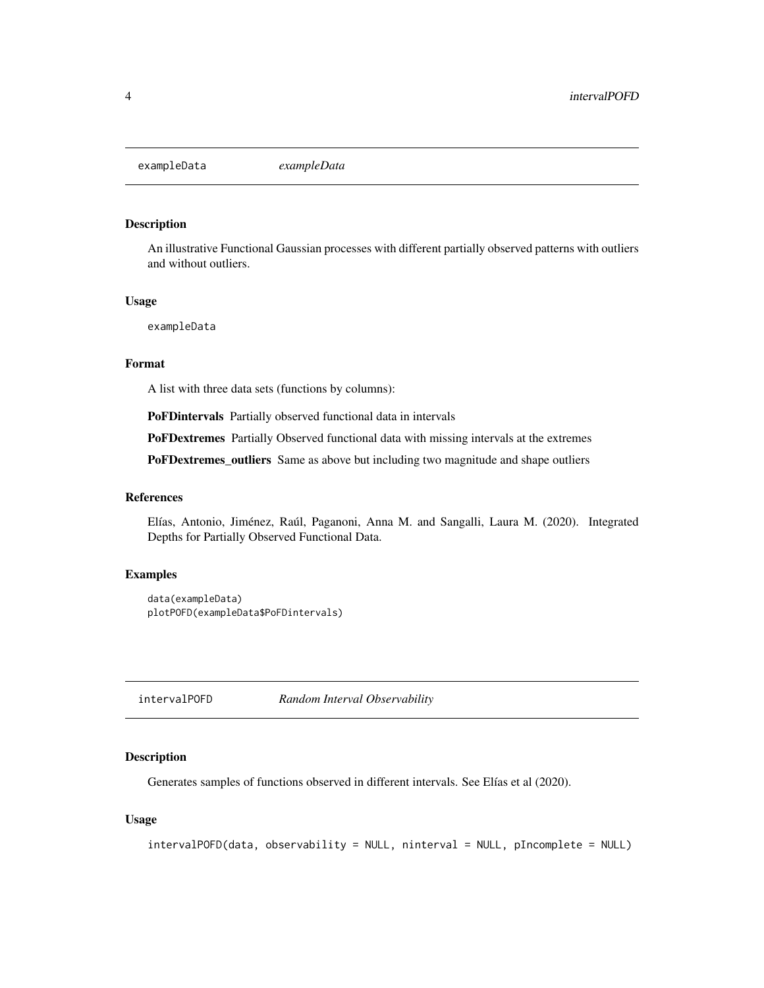<span id="page-3-0"></span>

#### Description

An illustrative Functional Gaussian processes with different partially observed patterns with outliers and without outliers.

#### Usage

exampleData

#### Format

A list with three data sets (functions by columns):

PoFDintervals Partially observed functional data in intervals

PoFDextremes Partially Observed functional data with missing intervals at the extremes

PoFDextremes\_outliers Same as above but including two magnitude and shape outliers

#### References

Elías, Antonio, Jiménez, Raúl, Paganoni, Anna M. and Sangalli, Laura M. (2020). Integrated Depths for Partially Observed Functional Data.

#### Examples

```
data(exampleData)
plotPOFD(exampleData$PoFDintervals)
```
intervalPOFD *Random Interval Observability*

#### Description

Generates samples of functions observed in different intervals. See Elías et al (2020).

#### Usage

```
intervalPOFD(data, observability = NULL, ninterval = NULL, pIncomplete = NULL)
```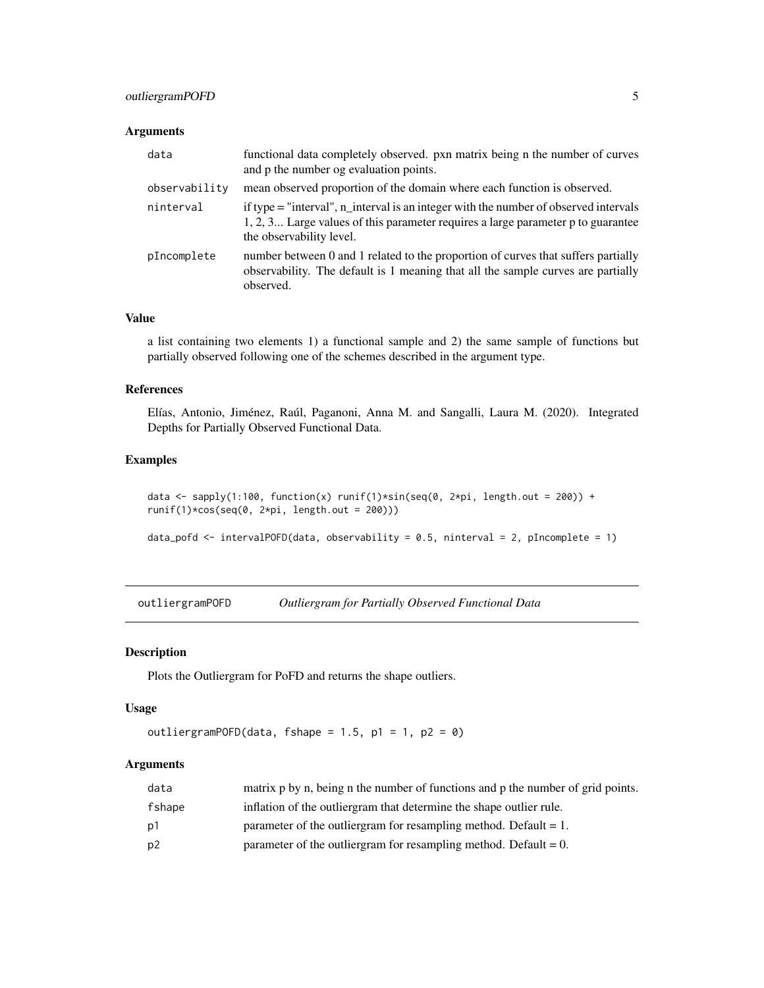#### <span id="page-4-0"></span>outliergramPOFD 5

#### Arguments

| data          | functional data completely observed. pxn matrix being n the number of curves<br>and p the number og evaluation points.                                                                               |
|---------------|------------------------------------------------------------------------------------------------------------------------------------------------------------------------------------------------------|
| observability | mean observed proportion of the domain where each function is observed.                                                                                                                              |
| ninterval     | if type = "interval", n_interval is an integer with the number of observed intervals<br>1, 2, 3 Large values of this parameter requires a large parameter p to guarantee<br>the observability level. |
| pIncomplete   | number between 0 and 1 related to the proportion of curves that suffers partially<br>observability. The default is 1 meaning that all the sample curves are partially<br>observed.                   |

#### Value

a list containing two elements 1) a functional sample and 2) the same sample of functions but partially observed following one of the schemes described in the argument type.

#### References

Elías, Antonio, Jiménez, Raúl, Paganoni, Anna M. and Sangalli, Laura M. (2020). Integrated Depths for Partially Observed Functional Data.

#### Examples

```
data <- sapply(1:100, function(x) runif(1)*sin(seq(0, 2*pi, length.out = 200)) +
runif(1)*cos(seq(0, 2*pi, length.out = 200)))
```
data\_pofd <- intervalPOFD(data, observability = 0.5, ninterval = 2, pIncomplete = 1)

outliergramPOFD *Outliergram for Partially Observed Functional Data*

#### Description

Plots the Outliergram for PoFD and returns the shape outliers.

#### Usage

```
outliergramPOFD(data, fshape = 1.5, p1 = 1, p2 = 0)
```
#### Arguments

| data           | matrix p by n, being n the number of functions and p the number of grid points. |
|----------------|---------------------------------------------------------------------------------|
| fshape         | inflation of the outliergram that determine the shape outlier rule.             |
| p1             | parameter of the outliergram for resampling method. Default $= 1$ .             |
| p <sub>2</sub> | parameter of the outliergram for resampling method. Default $= 0$ .             |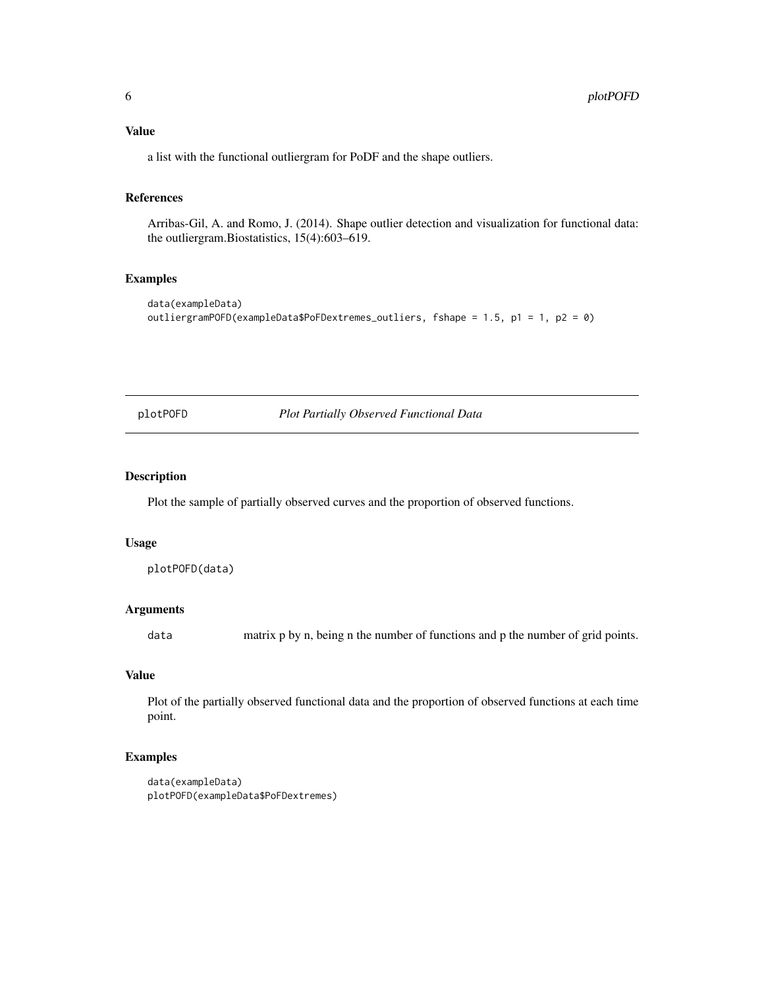<span id="page-5-0"></span>a list with the functional outliergram for PoDF and the shape outliers.

#### References

Arribas-Gil, A. and Romo, J. (2014). Shape outlier detection and visualization for functional data: the outliergram.Biostatistics, 15(4):603–619.

#### Examples

```
data(exampleData)
outliergramPOFD(exampleData$PoFDextremes_outliers, fshape = 1.5, p1 = 1, p2 = 0)
```
plotPOFD *Plot Partially Observed Functional Data*

#### Description

Plot the sample of partially observed curves and the proportion of observed functions.

#### Usage

```
plotPOFD(data)
```
#### Arguments

data matrix p by n, being n the number of functions and p the number of grid points.

#### Value

Plot of the partially observed functional data and the proportion of observed functions at each time point.

#### Examples

```
data(exampleData)
plotPOFD(exampleData$PoFDextremes)
```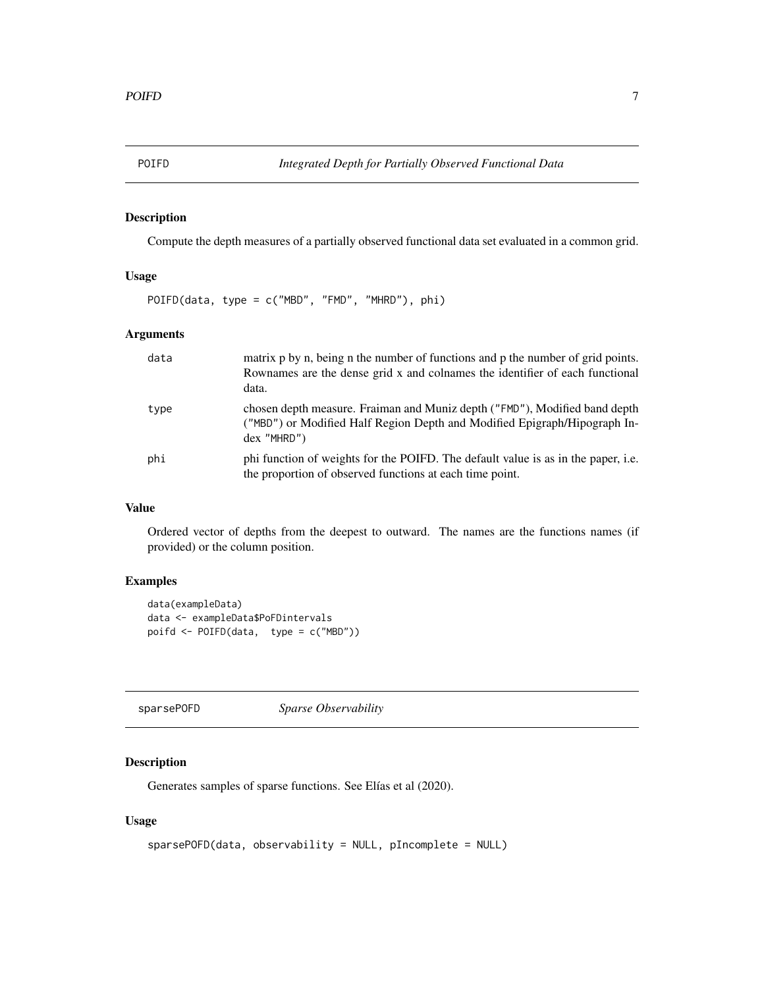#### <span id="page-6-0"></span>Description

Compute the depth measures of a partially observed functional data set evaluated in a common grid.

#### Usage

POIFD(data, type = c("MBD", "FMD", "MHRD"), phi)

#### Arguments

| data | matrix p by n, being n the number of functions and p the number of grid points.<br>Rownames are the dense grid x and colnames the identifier of each functional<br>data. |
|------|--------------------------------------------------------------------------------------------------------------------------------------------------------------------------|
| type | chosen depth measure. Fraiman and Muniz depth ("FMD"), Modified band depth<br>("MBD") or Modified Half Region Depth and Modified Epigraph/Hipograph In-<br>$dex$ "MHRD") |
| phi  | phi function of weights for the POIFD. The default value is as in the paper, i.e.<br>the proportion of observed functions at each time point.                            |

#### Value

Ordered vector of depths from the deepest to outward. The names are the functions names (if provided) or the column position.

#### Examples

```
data(exampleData)
data <- exampleData$PoFDintervals
poifd <- POIFD(data, type = c("MBD"))
```

| sparsePOFD | <i>Sparse Observability</i> |  |
|------------|-----------------------------|--|
|            |                             |  |

#### Description

Generates samples of sparse functions. See Elías et al (2020).

#### Usage

```
sparsePOFD(data, observability = NULL, pIncomplete = NULL)
```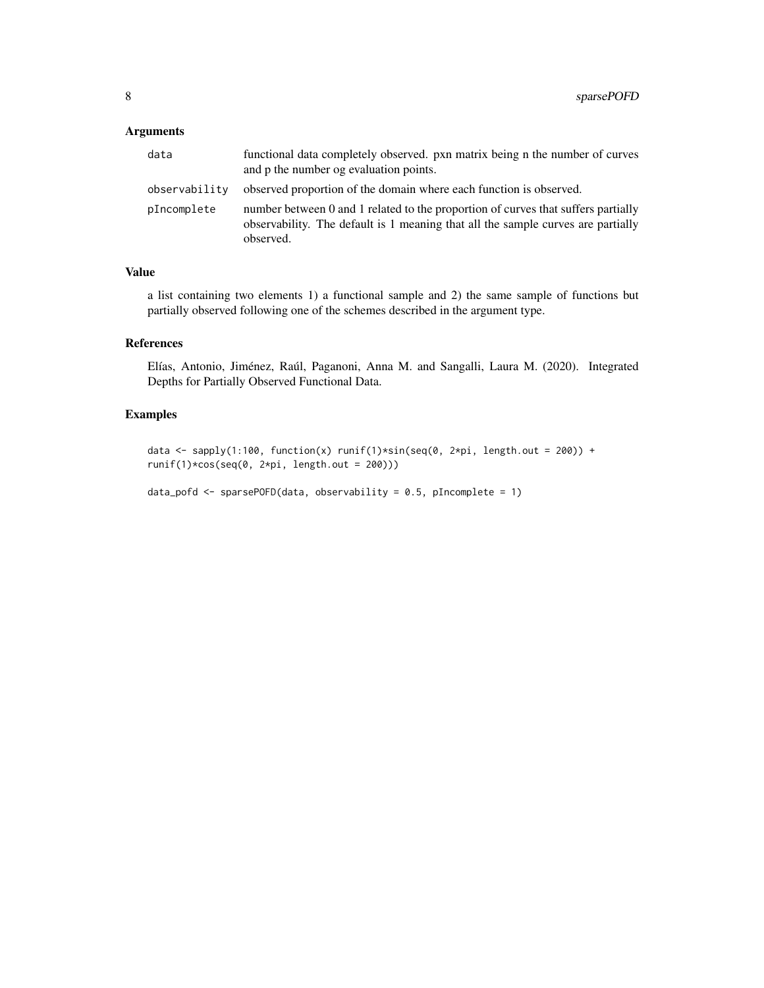#### Arguments

| data          | functional data completely observed. pxn matrix being n the number of curves<br>and p the number og evaluation points.                                                             |
|---------------|------------------------------------------------------------------------------------------------------------------------------------------------------------------------------------|
| observability | observed proportion of the domain where each function is observed.                                                                                                                 |
| pIncomplete   | number between 0 and 1 related to the proportion of curves that suffers partially<br>observability. The default is 1 meaning that all the sample curves are partially<br>observed. |

#### Value

a list containing two elements 1) a functional sample and 2) the same sample of functions but partially observed following one of the schemes described in the argument type.

#### References

Elías, Antonio, Jiménez, Raúl, Paganoni, Anna M. and Sangalli, Laura M. (2020). Integrated Depths for Partially Observed Functional Data.

#### Examples

data <- sapply(1:100, function(x) runif(1)\*sin(seq(0, 2\*pi, length.out = 200)) + runif(1)\*cos(seq(0, 2\*pi, length.out = 200)))

```
data_pofd <- sparsePOFD(data, observability = 0.5, pIncomplete = 1)
```